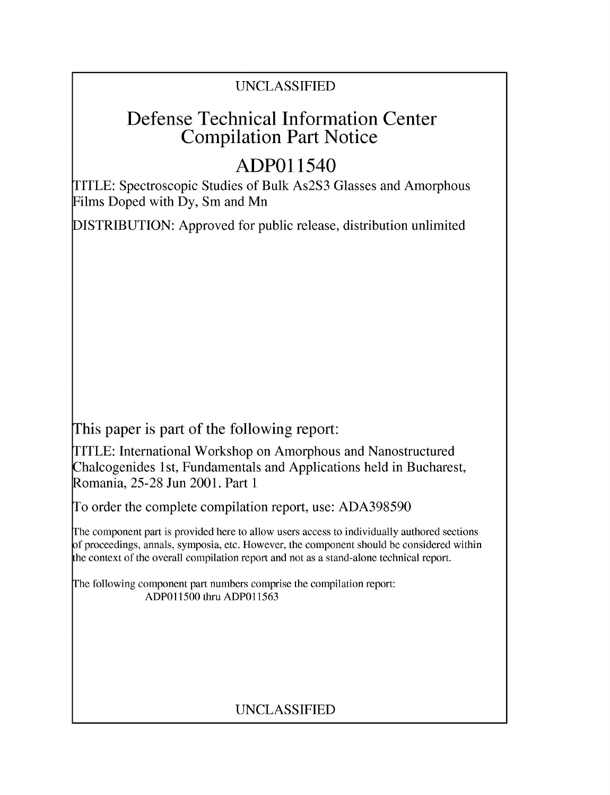## UNCLASSIFIED

# Defense Technical Information Center Compilation Part Notice

# **ADPO** 11540

TITLE: Spectroscopic Studies of Bulk As2S3 Glasses and Amorphous Films Doped with Dy, Sm and Mn

DISTRIBUTION: Approved for public release, distribution unlimited

This paper is part of the following report:

TITLE: International Workshop on Amorphous and Nanostructured Chalcogenides 1 st, Fundamentals and Applications held in Bucharest, Romania, 25-28 Jun 2001. Part 1

To order the complete compilation report, use: ADA398590

The component part is provided here to allow users access to individually authored sections f proceedings, annals, symposia, etc. However, the component should be considered within [he context of the overall compilation report and not as a stand-alone technical report.

The following component part numbers comprise the compilation report: ADPO11500 thru ADP011563

## UNCLASSIFIED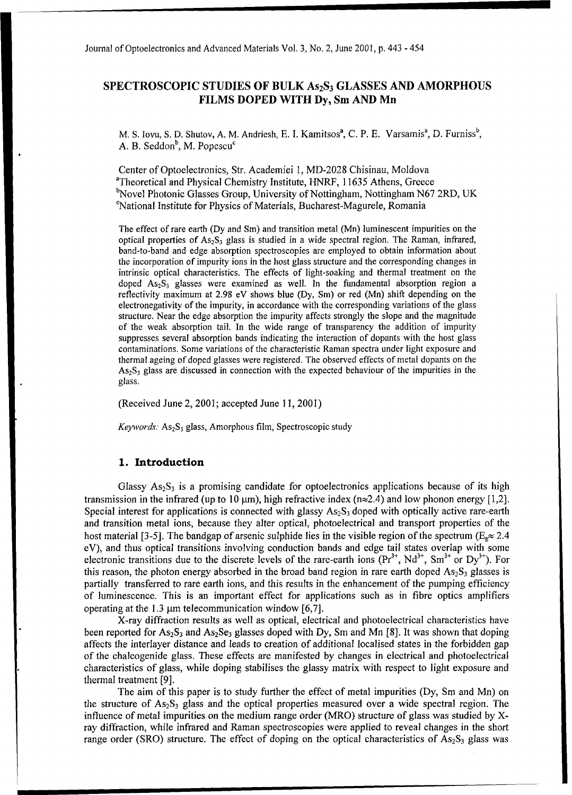### **SPECTROSCOPIC STUDIES** OF BULK **As 2S3 GLASSES AND** AMORPHOUS FILMS **DOPED** WITH **Dy,** Sm **AND** Mn

M. S. Iovu, S. D. Shutov, A. M. Andriesh, E. I. Kamitsos<sup>a</sup>, C. P. E. Varsamis<sup>a</sup>, D. Furniss<sup>b</sup>, A. B. Seddon $<sup>b</sup>$ , M. Popescu<sup>c</sup></sup>

Center of Optoelectronics, Str. Academiei 1, MD-2028 Chisinau, Moldova <sup>a</sup>Theoretical and Physical Chemistry Institute, HNRF, 11635 Athens, Greece <sup>b</sup>Novel Photonic Glasses Group, University of Nottingham, Nottingham N67 2RD, UK 'National Institute for Physics of Materials, Bucharest-Magurele, Romania

The effect of rare earth (Dy and Sm) and transition metal (Mn) luminescent impurities on the optical properties of  $As_2S_3$  glass is studied in a wide spectral region. The Raman, infrared, band-to-band and edge absorption spectroscopies are employed to obtain information about the incorporation of impurity ions in the host glass structure and the corresponding changes in intrinsic optical characteristics. The effects of light-soaking and thermal treatment on the doped  $As_2S_3$  glasses were examined as well. In the fundamental absorption region a reflectivity maximum at 2.98 eV shows blue (Dy, Sm) or red (Mn) shift depending on the electronegativity of the impurity, in accordance with the corresponding variations of the glass structure. Near the edge absorption the impurity affects strongly the slope and the magnitude of the weak absorption tail. In the wide range of transparency the addition of impurity suppresses several absorption bands indicating the interaction of dopants with the host glass contaminations. Some variations of the characteristic Raman spectra under light exposure and thermal ageing of doped glasses were registered. The observed effects of metal dopants on the  $As<sub>2</sub>S<sub>3</sub>$  glass are discussed in connection with the expected behaviour of the impurities in the glass.

(Received June 2, 2001; accepted June 11, 2001)

*Keywords:* As<sub>2</sub>S<sub>3</sub> glass, Amorphous film, Spectroscopic study

#### **1.** Introduction

Glassy  $As_2S_3$  is a promising candidate for optoelectronics applications because of its high transmission in the infrared (up to 10  $\mu$ m), high refractive index (n $\approx$ 2.4) and low phonon energy [1,2]. Special interest for applications is connected with glassy  $As<sub>2</sub>S<sub>3</sub>$  doped with optically active rare-earth and transition metal ions, because they alter optical, photoelectrical and transport properties of the host material [3-5]. The bandgap of arsenic sulphide lies in the visible region of the spectrum ( $E_{\phi} \approx 2.4$ ) eV), and thus optical transitions involving conduction bands and edge tail states overlap with some electronic transitions due to the discrete levels of the rare-earth ions  $(Pr<sup>3+</sup>, Nd<sup>3+</sup>, Sm<sup>3+</sup>$  or Dy<sup>3+</sup>). For this reason, the photon energy absorbed in the broad band region in rare earth doped  $As_2S_3$  glasses is partially transferred to rare earth ions, and this results in the enhancement of the pumping efficiency of luminescence. This is an important effect for applications such as in fibre optics amplifiers operating at the 1.3  $\mu$ m telecommunication window [6,7].

X-ray diffraction results as well as optical, electrical and photoelectrical characteristics have been reported for  $As_2S_3$  and  $As_2Se_3$  glasses doped with Dy, Sm and Mn [8]. It was shown that doping affects the interlayer distance and leads to creation of additional localised states in the forbidden gap of the chalcogenide glass. These effects are manifested by changes in electrical and photoelectrical characteristics of glass, while doping stabilises the glassy matrix with respect to light exposure and thermal treatment [9].

The aim of this paper is to study further the effect of metal impurities (Dy, Sm and Mn) on the structure of  $As_2S_3$  glass and the optical properties measured over a wide spectral region. The influence of metal impurities on the medium range order (MRO) structure of glass was studied by Xray diffraction, while infrared and Raman spectroscopies were applied to reveal changes in the short range order (SRO) structure. The effect of doping on the optical characteristics of  $As_2S_3$  glass was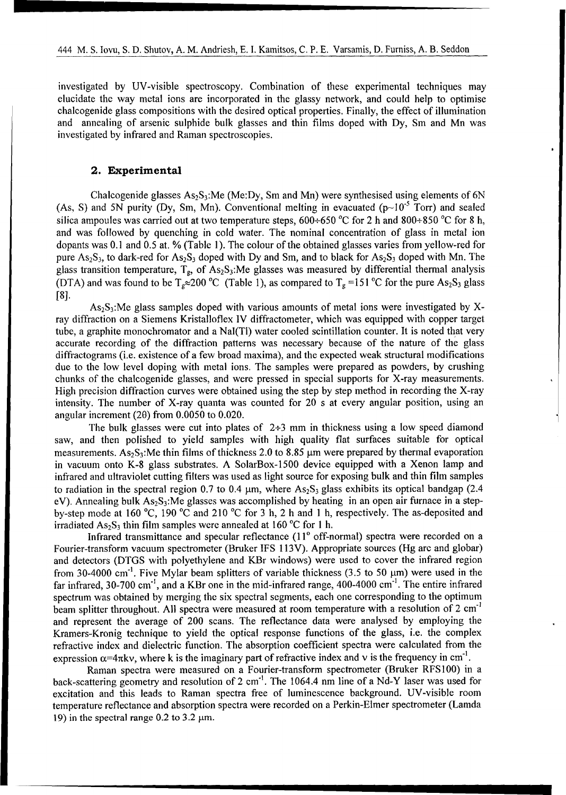investigated by UV-visible spectroscopy. Combination of these experimental techniques may investigated by UV-visible spectroscopy. Combination of these experimental techniques may elucidate the way metal ions are incorporated in the glassy network, and could help to optimise chalcogenide glass compositions with the desired optical properties. Finally, the effect of illumination and annealing of arsenic sulphide bulk glasses and thin films doped with Dy, Sm and Mn was investigated by infrared and Raman spectroscopies.

#### 2. Experimental

i l I I I I I t t t t t , , , , ,

Chalcogenide glasses As2S3:Me (Me:Dy, Sm and Mn) were synthesised using elements of 6N Chalcogenide glasses  $As_2S_3$ :Me (Me:Dy, Sm and Mn) were synthesised using elements of 6N (As, S) and 5N purity (Dy, Sm, Mn). Conventional melting in evacuated ( $p$ ~10<sup>-5</sup> Torr) and sealed silica ampoules was carried out at two temperature steps,  $600 \div 650$  °C for 2 h and  $800 \div 850$  °C for 8 h, and was followed by quenching in cold water. The nominal concentration of glass in metal ion dopants was  $0.1$  and  $0.5$  at. % (Table 1). The colour of the obtained glasses varies from yellow-red for pure  $As_2S_3$ , to dark-red for  $As_2S_3$  doped with Dy and Sm, and to black for  $As_2S_3$  doped with Mn. The glass transition temperature,  $T_g$ , of As<sub>2</sub>S<sub>3</sub>:Me glasses was measured by differential thermal analysis (DTA) and was found to be  $T_g \approx 200 \text{ °C}$  (Table 1), as compared to  $T_g = 151 \text{ °C}$  for the pure As<sub>2</sub>S<sub>3</sub> glass [8]. As2S3:Me glass samples doped with various amounts of metal ions were investigated by X-

 $As<sub>2</sub>S<sub>3</sub>$ :Me glass samples doped with various amounts of metal ions were investigated by Xray diffraction on a Siemens Kristalloflex IV diffractometer, which was equipped with copper target tube, a graphite monochromator and a NaI(TI) water cooled scintillation counter. It is noted that very accurate recording of the diffraction patterns was necessary because of the nature of the glass diffractograms (i.e. existence of a few broad maxima), and the expected weak structural modifications due to the low level doping with metal ions. The samples were prepared as powders, by crushing chunks of the chalcogenide glasses, and were pressed in special supports for X-ray measurements. High precision diffraction curves were obtained using the step by step method in recording the X-ray intensity. The number of X-ray quanta was counted for 20 s at every angular position, using an angular increment (2 $\theta$ ) from 0.0050 to 0.020.

The bulk glasses were cut into plates of  $2+3$  mm in thickness using a low speed diamond saw, and then polished to yield samples with high quality flat surfaces suitable for optical measurements. As<sub>2</sub>S<sub>3</sub>: Me thin films of thickness 2.0 to 8.85  $\mu$ m were prepared by thermal evaporation in vacuum onto K-8 glass substrates. A SolarBox-1500 device equipped with a Xenon lamp and infrared and ultraviolet cutting filters was used as light source for exposing bulk and thin film samples to radiation in the spectral region 0.7 to 0.4  $\mu$ m, where As<sub>2</sub>S<sub>3</sub> glass exhibits its optical bandgap (2.4 eV). Annealing bulk As<sub>2</sub>S<sub>3</sub>:Me glasses was accomplished by heating in an open air furnace in a stepby-step mode at 160 °C, 190 °C and 210 °C for 3 h, 2 h and 1 h, respectively. The as-deposited and irradiated  $As_2S_3$  thin film samples were annealed at 160 °C for 1 h.

Infrared transmittance and specular reflectance  $(11^{\circ}$  off-normal) spectra were recorded on a Fourier-transform vacuum spectrometer (Bruker IFS 113V). Appropriate sources (Hg arc and globar) and detectors (DTGS with polyethylene and KBr windows) were used to cover the infrared region from 30-4000 cm<sup>-1</sup>. Five Mylar beam splitters of variable thickness (3.5 to 50  $\mu$ m) were used in the far infrared, 30-700 cm<sup>-1</sup>, and a KBr one in the mid-infrared range, 400-4000 cm<sup>-1</sup>. The entire infrared spectrum was obtained by merging the six spectral segments, each one corresponding to the optimum beam splitter throughout. All spectra were measured at room temperature with a resolution of 2 cm<sup>-1</sup> and represent the average of 200 scans. The reflectance data were analysed by employing the Kramers-Kronig technique to yield the optical response functions of the glass, i.e. the complex refractive index and dielectric function. The absorption coefficient spectra were calculated from the expression  $\alpha$ =4 $\pi$ kv, where k is the imaginary part of refractive index and v is the frequency in cm<sup>-1</sup>.

Raman spectra were measured on a Fourier-transform spectrometer (Bruker RFS100) in a back-scattering geometry and resolution of 2 cm<sup>-1</sup>. The 1064.4 nm line of a Nd-Y laser was used for excitation and this leads to Raman spectra free of luminescence background. UV-visible room temperature reflectance and absorption spectra were recorded on a Perkin-Elmer spectrometer (Lamda 19) in the spectral range  $0.2$  to  $3.2 \mu m$ .

-- ' ' ' ' ' I I i l l I I I I l I I I I l I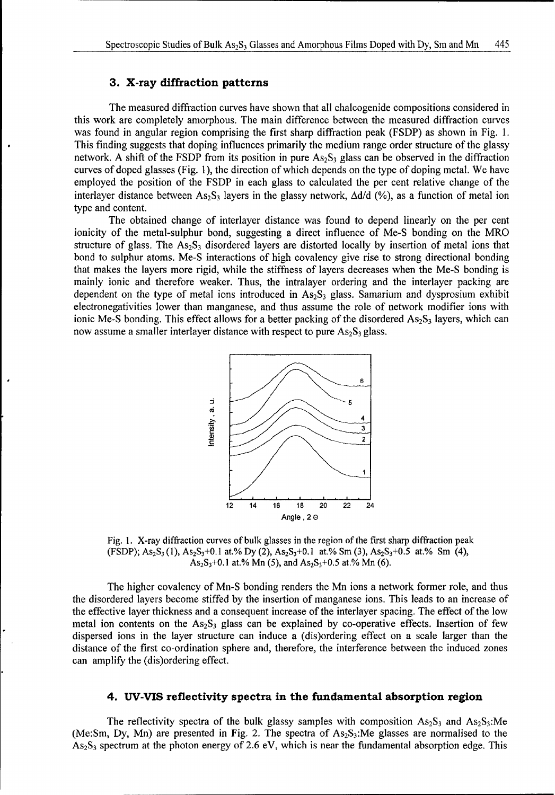#### **3.** X-ray diffraction patterns

The measured diffraction curves have shown that all chalcogenide compositions considered in this work are completely amorphous. The main difference between the measured diffraction curves was found in angular region comprising the first sharp diffraction peak (FSDP) as shown in Fig. 1. This finding suggests that doping influences primarily the medium range order structure of the glassy network. A shift of the FSDP from its position in pure  $As_2S_3$  glass can be observed in the diffraction curves of doped glasses (Fig. 1), the direction of which depends on the type of doping metal. We have employed the position of the FSDP in each glass to calculated the per cent relative change of the interlayer distance between As<sub>2</sub>S<sub>3</sub> layers in the glassy network,  $\Delta d/d$  (%), as a function of metal ion type and content.

The obtained change of interlayer distance was found to depend linearly on the per cent ionicity of the metal-sulphur bond, suggesting a direct influence of Me-S bonding on the MRO structure of glass. The  $As_2S_3$  disordered layers are distorted locally by insertion of metal ions that bond to sulphur atoms. Me-S interactions of high covalency give rise to strong directional bonding that makes the layers more rigid, while the stiffness of layers decreases when the Me-S bonding is mainly ionic and therefore weaker. Thus, the intralayer ordering and the interlayer packing are dependent on the type of metal ions introduced in  $As_2S_3$  glass. Samarium and dysprosium exhibit electronegativities lower than manganese, and thus assume the role of network modifier ions with ionic Me-S bonding. This effect allows for a better packing of the disordered  $As_2S_3$  layers, which can now assume a smaller interlayer distance with respect to pure  $As_2S_3$  glass.



Fig. **1.** X-ray diffraction curves of bulk glasses in the region of the first sharp diffraction peak (FSDP); As2S3 (1), **As 2S3+0.1** at.% Dy (2), **As 2S3+0.1** at.% Sm (3), AS2S3+0.5 at.% Sm (4),  $As_2S_3+0.1$  at.% Mn (5), and  $As_2S_3+0.5$  at.% Mn (6).

The higher covalency of Mn-S bonding renders the Mn ions a network former role, and thus the disordered layers become stiffed by the insertion of manganese ions. This leads to an increase of the effective layer thickness and a consequent increase of the interlayer spacing. The effect of the low metal ion contents on the  $As_2S_3$  glass can be explained by co-operative effects. Insertion of few dispersed ions in the layer structure can induce a (dis)ordering effect on a scale larger than the distance of the first co-ordination sphere and, therefore, the interference between the induced zones can amplify the (dis)ordering effect.

#### 4. **UV-VIS** reflectivity spectra in the fundamental absorption region

The reflectivity spectra of the bulk glassy samples with composition  $As_2S_3$  and  $As_2S_3$ :Me (Me:Sm, Dy, Mn) are presented in Fig. 2. The spectra of  $As_2S_3$ :Me glasses are normalised to the  $As_2S_3$  spectrum at the photon energy of 2.6 eV, which is near the fundamental absorption edge. This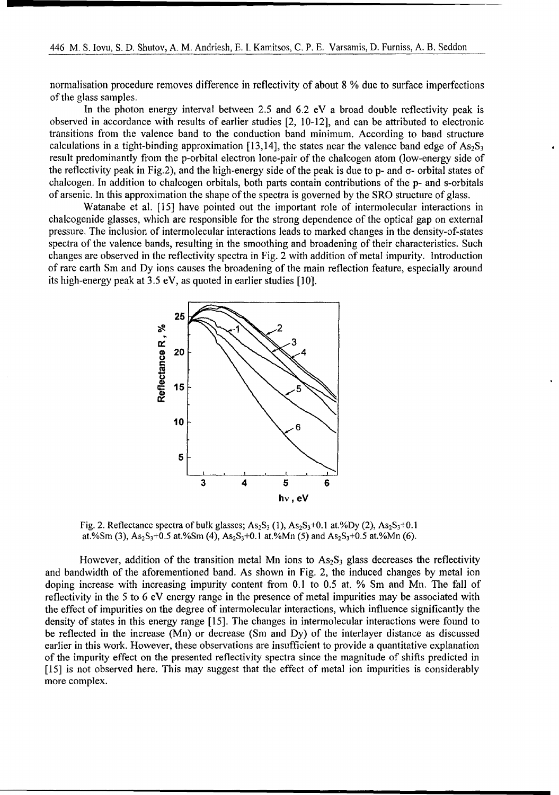normalisation procedure removes difference in reflectivity of about 8 % due to surface imperfections of the glass samples.

In the photon energy interval between 2.5 and 6.2 eV a broad double reflectivity peak is observed in accordance with results of earlier studies [2, 10-12], and can be attributed to electronic transitions from the valence band to the conduction band minimum. According to band structure calculations in a tight-binding approximation [13,14], the states near the valence band edge of  $\text{As}_2\text{S}_3$ result predominantly from the p-orbital electron lone-pair of the chalcogen atom (low-energy side of the reflectivity peak in Fig.2), and the high-energy side of the peak is due to p- and  $\sigma$ - orbital states of chalcogen. In addition to chalcogen orbitals, both parts contain contributions of the p- and s-orbitals of arsenic. In this approximation the shape of the spectra is governed by the SRO structure of glass.

Watanabe et al. [15] have pointed out the important role of intermolecular interactions in chalcogenide glasses, which are responsible for the strong dependence of the optical gap on external pressure. The inclusion of intermolecular interactions leads to marked changes in the density-of-states spectra of the valence bands, resulting in the smoothing and broadening of their characteristics. Such changes are observed in the reflectivity spectra in Fig. 2 with addition of metal impurity. Introduction of rare earth Sm and Dy ions causes the broadening of the main reflection feature, especially around its high-energy peak at 3.5 eV, as quoted in earlier studies [10].



Fig. 2. Reflectance spectra of bulk glasses;  $As_2S_3(1)$ ,  $As_2S_3+0.1$  at.%Dy (2),  $As_2S_3+0.1$ at.%Sm (3),  $As_2S_3+0.5$  at.%Sm (4),  $As_2S_3+0.1$  at.%Mn (5) and  $As_2S_3+0.5$  at.%Mn (6).

However, addition of the transition metal Mn ions to  $As_2S_3$  glass decreases the reflectivity and bandwidth of the aforementioned band. As shown in Fig. 2, the induced changes by metal ion doping increase with increasing impurity content from 0.1 to 0.5 at. % Sm and Mn. The fall of reflectivity in the 5 to 6 eV energy range in the presence of metal impurities may be associated with the effect of impurities on the degree of intermolecular interactions, which influence significantly the density of states in this energy range [15]. The changes in intermolecular interactions were found to be reflected in the increase (Mn) or decrease (Sm and Dy) of the interlayer distance as discussed earlier in this work. However, these observations are insufficient to provide a quantitative explanation of the impurity effect on the presented reflectivity spectra since the magnitude of shifts predicted in [15] is not observed here. This may suggest that the effect of metal ion impurities is considerably more complex.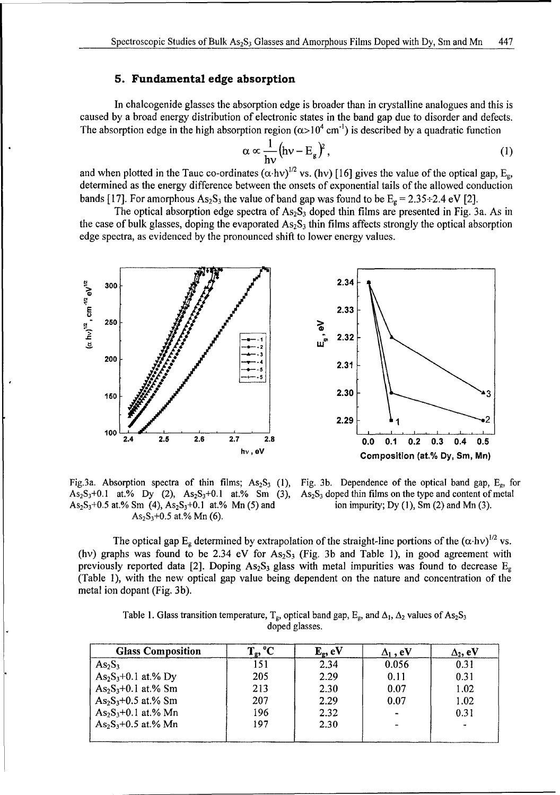### **5.** Fundamental edge absorption

In chalcogenide glasses the absorption edge is broader than in crystalline analogues and this is caused by a broad energy distribution of electronic states in the band gap due to disorder and defects. The absorption edge in the high absorption region  $(\alpha > 10^4 \text{ cm}^{-1})$  is described by a quadratic function

$$
\alpha \propto \frac{1}{hv} \left( hv - E_g \right)^2, \tag{1}
$$

and when plotted in the Tauc co-ordinates ( $\alpha$ ·hv)<sup>1/2</sup> vs. (hv) [16] gives the value of the optical gap, E<sub>g</sub>, determined as the energy difference between the onsets of exponential tails of the allowed conduction bands [17]. For amorphous  $As_2S_3$  the value of band gap was found to be  $E<sub>e</sub> = 2.35 \div 2.4$  eV [2].

The optical absorption edge spectra of  $As_2S_3$  doped thin films are presented in Fig. 3a. As in the case of bulk glasses, doping the evaporated  $As_2S_3$  thin films affects strongly the optical absorption edge spectra, as evidenced by the pronounced shift to lower energy values.



 $As_2S_3+0.1$  at.% Dy (2),  $As_2S_3+0.1$  at.% Sm (3),  $As_2S_3$  doped thin films on the type and content of  $As_2S_3+0.5$  at.% Sm (4),  $As_2S_3+0.1$  at.% Mn (5) and ion impurity; Dy (1), Sm (2) and Mn (3). As<sub>2</sub>S<sub>3</sub>+0.5 at.% Sm (4), As<sub>2</sub>S<sub>3</sub>+0.1 at.% Mn (5) and  $As<sub>2</sub>S<sub>3</sub>+0.5$  at.% Mn (6).

Fig.3a. Absorption spectra of thin films;  $As_2S_3$  (1), Fig. 3b. Dependence of the optical band gap,  $E_g$ , for  $As_2S_3+0.1$  at.% Dy (2),  $As_2S_3+0.1$  at.% Sm (3),  $As_2S_3$  doped thin films on the type and content of metal

The optical gap  $E_g$  determined by extrapolation of the straight-line portions of the  $(\alpha \cdot h\nu)^{1/2}$  vs. (hv) graphs was found to be 2.34 eV for  $As_2S_3$  (Fig. 3b and Table 1), in good agreement with previously reported data [2]. Doping As<sub>2</sub>S<sub>3</sub> glass with metal impurities was found to decrease  $E<sub>e</sub>$ (Table 1), with the new optical gap value being dependent on the nature and concentration of the metal ion dopant (Fig. 3b).

| Table 1. Glass transition temperature, $T_g$ , optical band gap, $E_g$ , and $\Delta_1$ , $\Delta_2$ values of As <sub>2</sub> S <sub>3</sub> |  |
|-----------------------------------------------------------------------------------------------------------------------------------------------|--|
| doped glasses.                                                                                                                                |  |

| $T_{\rm g}$ , <sup>o</sup> C | ${\bf E}_{\rm g},\,{\bf eV}$ | $\Delta_1$ , eV          | $\Delta_2$ , eV |
|------------------------------|------------------------------|--------------------------|-----------------|
| 151                          | 2.34                         | 0.056                    | 0.31            |
| 205                          | 2.29                         | 0.11                     | 0.31            |
| 213                          | 2.30                         | 0.07                     | 1.02            |
| 207                          | 2.29                         | 0.07                     | 1.02            |
| 196                          | 2.32                         |                          | 0.31            |
| 197                          | 2.30                         | $\overline{\phantom{0}}$ | $\bullet$       |
|                              |                              |                          |                 |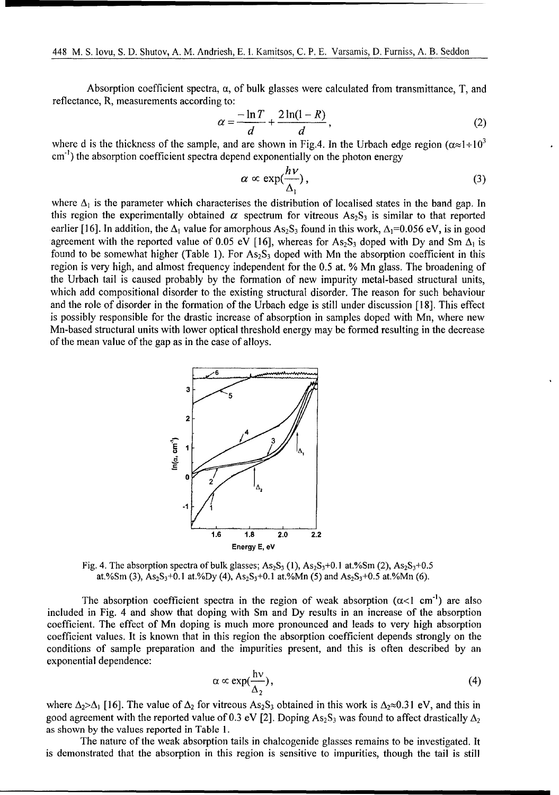Absorption coefficient spectra,  $\alpha$ , of bulk glasses were calculated from transmittance,  $T$ , and reflectance, R, measurements according to:

$$
\alpha = \frac{-\ln T}{d} + \frac{2\ln(1 - R)}{d},\tag{2}
$$

where d is the thickness of the sample, and are shown in Fig.4. In the Urbach edge region ( $\alpha \approx 1 \div 10^{3}$ ) cm<sup>-1</sup>) the absorption coefficient spectra depend exponentially on the photon energy

$$
\alpha \propto \exp(\frac{h\nu}{\Delta_1}),\tag{3}
$$

where  $\Delta_1$  is the parameter which characterises the distribution of localised states in the band gap. In this region the experimentally obtained  $\alpha$  spectrum for vitreous As<sub>2</sub>S<sub>3</sub> is similar to that reported earlier [16]. In addition, the  $\Delta_1$  value for amorphous As<sub>2</sub>S<sub>3</sub> found in this work,  $\Delta_1=0.056$  eV, is in good agreement with the reported value of 0.05 eV [16], whereas for  $As_2S_3$  doped with Dy and Sm  $\Delta_1$  is found to be somewhat higher (Table 1). For  $As_2S_3$  doped with Mn the absorption coefficient in this region is very high, and almost frequency independent for the 0.5 at. % Mn glass. The broadening of the Urbach tail is caused probably by the formation of new impurity metal-based structural units, which add compositional disorder to the existing structural disorder. The reason for such behaviour and the role of disorder in the formation of the Urbach edge is still under discussion [18]. This effect is possibly responsible for the drastic increase of absorption in samples doped with Mn, where new Mn-based structural units with lower optical threshold energy may be formed resulting in the decrease of the mean value of the gap as in the case of alloys.



Fig. 4. The absorption spectra of bulk glasses;  $As_2S_3$  (1),  $As_2S_3+0.1$  at.%Sm (2),  $As_2S_3+0.5$ at.%Sm (3),  $As_2S_3+0.1$  at.%Dy (4),  $As_2S_3+0.1$  at.%Mn (5) and  $As_2S_3+0.5$  at.%Mn (6).

The absorption coefficient spectra in the region of weak absorption  $(\alpha < 1 \text{ cm}^{-1})$  are also included in Fig. 4 and show that doping with Sm and Dy results in an increase of the absorption coefficient. The effect of Mn doping is much more pronounced and leads to very high absorption coefficient values. It is known that in this region the absorption coefficient depends strongly on the conditions of sample preparation and the impurities present, and this is often described by an exponential dependence:

$$
\alpha \propto \exp(\frac{h\nu}{\Delta_2}),\tag{4}
$$

where  $\Delta_2 > \Delta_1$  [16]. The value of  $\Delta_2$  for vitreous As<sub>2</sub>S<sub>3</sub> obtained in this work is  $\Delta_2 \approx 0.31$  eV, and this in good agreement with the reported value of 0.3 eV [2]. Doping As<sub>2</sub>S<sub>3</sub> was found to affect drastically  $\Delta_2$ as shown by the values reported in Table 1.

The nature of the weak absorption tails in chalcogenide glasses remains to be investigated. It is demonstrated that the absorption in this region is sensitive to impurities, though the tail is still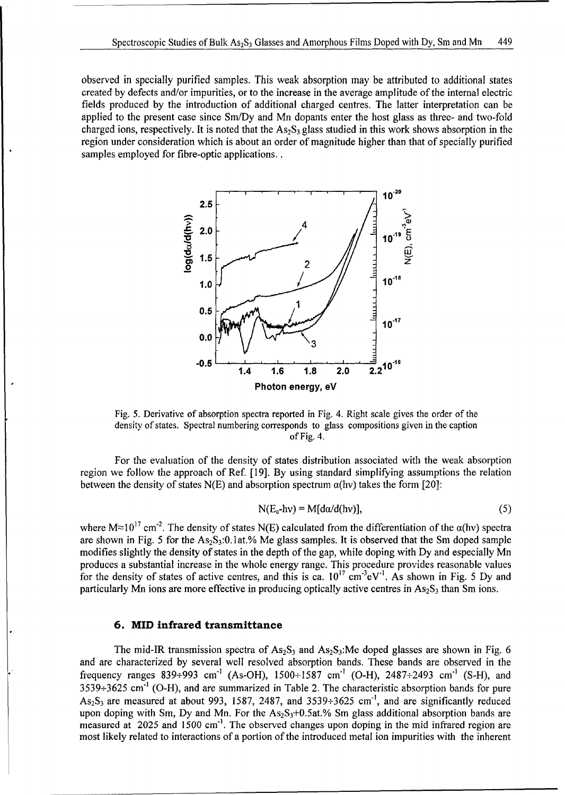observed in specially purified samples. This weak absorption may be attributed to additional states created by defects and/or impurities, or to the increase in the average amplitude of the internal electric fields produced by the introduction of additional charged centres. The latter interpretation can be applied to the present case since Sm/Dy and Mn dopants enter the host glass as three- and two-fold charged ions, respectively. It is noted that the  $As_2S_3$  glass studied in this work shows absorption in the region under consideration which is about an order of magnitude higher than that of specially purified samples employed for fibre-optic applications..



Fig. 5. Derivative of absorption spectra reported in Fig. 4. Right scale gives the order of the density of states. Spectral numbering corresponds to glass compositions given in the caption of Fig. 4.

For the evaluation of the density of states distribution associated with the weak absorption region we follow the approach of Ref. [19]. By using standard simplifying assumptions the relation between the density of states N(E) and absorption spectrum  $\alpha$ (hv) takes the form [20]:

$$
N(E_c-hv) = M[da/d(hv)],
$$
\n(5)

where  $M \approx 10^{17}$  cm<sup>-2</sup>. The density of states N(E) calculated from the differentiation of the  $\alpha$ (hv) spectra are shown in Fig. 5 for the  $As_2S_3:0.1at.\%$  Me glass samples. It is observed that the Sm doped sample modifies slightly the density of states in the depth of the gap, while doping with Dy and especially Mn produces a substantial increase in the whole energy range. This procedure provides reasonable values for the density of states of active centres, and this is ca.  $10^{17}$  cm<sup>-3</sup>eV<sup>-1</sup>. As shown in Fig. 5 Dy and particularly Mn ions are more effective in producing optically active centres in  $As_2S_3$  than Sm ions.

#### **6.** MID infrared transmittance

The mid-IR transmission spectra of  $As_2S_3$  and  $As_2S_3$ : Me doped glasses are shown in Fig. 6 and are characterized by several well resolved absorption bands. These bands are observed in the frequency ranges 839÷993 cm<sup>-1</sup> (As-OH), 1500÷1587 cm<sup>-1</sup> (O-H), 2487÷2493 cm<sup>-1</sup> (S-H), and  $3539 \div 3625$  cm<sup>-1</sup> (O-H), and are summarized in Table 2. The characteristic absorption bands for pure  $As<sub>2</sub>S<sub>3</sub>$  are measured at about 993, 1587, 2487, and 3539÷3625 cm<sup>-1</sup>, and are significantly reduced upon doping with Sm, Dy and Mn. For the  $As_2S_3+0.5at.\%$  Sm glass additional absorption bands are measured at  $2025$  and  $1500 \text{ cm}^{-1}$ . The observed changes upon doping in the mid infrared region are most likely related to interactions of a portion of the introduced metal ion impurities with the inherent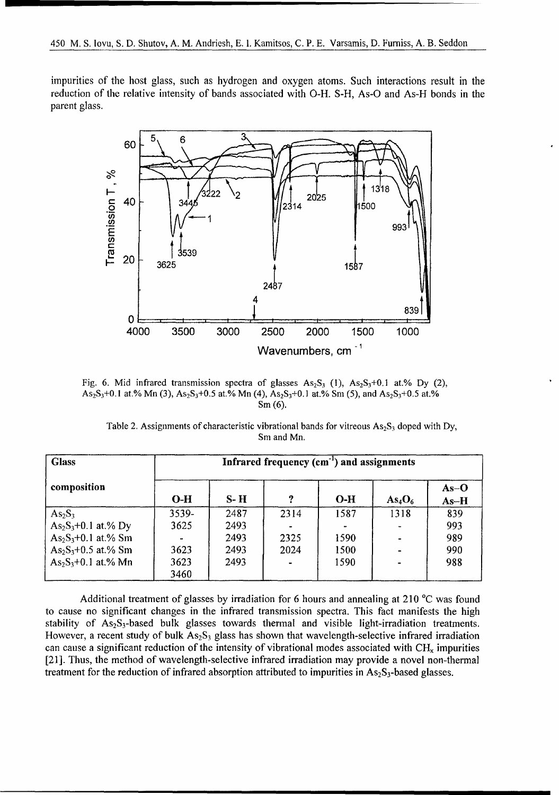impurities of the host glass, such as hydrogen and oxygen atoms. Such interactions result in the reduction of the relative intensity of bands associated with O-H. S-H, As-O and As-H bonds in the parent glass.



Fig. 6. Mid infrared transmission spectra of glasses  $As_2S_3$  (1),  $As_2S_3+0.1$  at.% Dy (2), As<sub>2</sub>S<sub>3</sub>+0.1 at.% Mn (3),  $As_2S_3+0.5$  at.% Mn (4),  $As_2S_3+0.1$  at.% Sm (5), and  $As_2S_3+0.5$  at.% Sm (6).

| Table 2. Assignments of characteristic vibrational bands for vitreous $As_2S_3$ doped with Dy, |            |  |  |
|------------------------------------------------------------------------------------------------|------------|--|--|
|                                                                                                | Sm and Mn. |  |  |

| <b>Glass</b>          | Infrared frequency (cm <sup>-1</sup> ) and assignments |       |      |       |                                |                  |
|-----------------------|--------------------------------------------------------|-------|------|-------|--------------------------------|------------------|
| composition           | $O-H$                                                  | $S-H$ | 7    | $O-H$ | As <sub>4</sub> O <sub>6</sub> | $As-O$<br>$As-H$ |
| $As_2S_3$             | 3539-                                                  | 2487  | 2314 | 1587  | 1318                           | 839              |
| $As_2S_3+0.1$ at.% Dy | 3625                                                   | 2493  |      |       |                                | 993              |
| $As_2S_3+0.1$ at.% Sm |                                                        | 2493  | 2325 | 1590  |                                | 989              |
| $As_2S_3+0.5$ at.% Sm | 3623                                                   | 2493  | 2024 | 1500  |                                | 990              |
| $As_2S_3+0.1$ at.% Mn | 3623                                                   | 2493  |      | 1590  |                                | 988              |
|                       | 3460                                                   |       |      |       |                                |                  |

Additional treatment of glasses by irradiation for 6 hours and annealing at 210 <sup>o</sup>C was found to cause no significant changes in the infrared transmission spectra. This fact manifests the high stability of  $As_2S_3$ -based bulk glasses towards thermal and visible light-irradiation treatments. However, a recent study of bulk  $As_2S_3$  glass has shown that wavelength-selective infrared irradiation can cause a significant reduction of the intensity of vibrational modes associated with **CH,** impurities [21]. Thus, the method of wavelength-selective infrared irradiation may provide a novel non-thermal treatment for the reduction of infrared absorption attributed to impurities in  $As_2S_3$ -based glasses.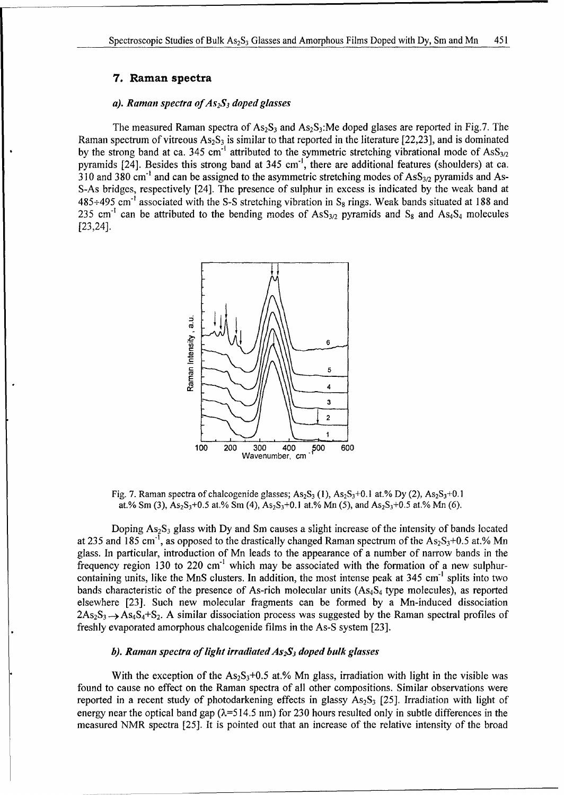#### **7.** Raman spectra

#### *a). Raman spectra ofAs 2S3 doped glasses*

The measured Raman spectra of  $As_2S_3$  and  $As_2S_3$ : Me doped glases are reported in Fig.7. The Raman spectrum of vitreous  $As_2S_3$  is similar to that reported in the literature [22,23], and is dominated by the strong band at ca. 345 cm<sup>-1</sup> attributed to the symmetric stretching vibrational mode of AsS<sub>3/2</sub> pyramids [24]. Besides this strong band at 345 cm<sup>-1</sup>, there are additional features (shoulders) at ca. 310 and 380 cm<sup>-1</sup> and can be assigned to the asymmetric stretching modes of  $\text{Ass}_{3/2}$  pyramids and As-S-As bridges, respectively [24]. The presence of sulphur in excess is indicated by the weak band at 485+495 cm' associated with the S-S stretching vibration in **S8** rings. Weak bands situated at 188 and 235 cm<sup>-1</sup> can be attributed to the bending modes of  $\text{Ass}_{3/2}$  pyramids and  $\text{S}_8$  and  $\text{Ass}_{4}$  molecules [23,24].



Fig. 7. Raman spectra of chalcogenide glasses;  $As_2S_3$  (1),  $As_2S_3+0.1$  at.% Dy (2),  $As_2S_3+0.1$ at.% Sm (3),  $As_2S_3+0.5$  at.% Sm (4),  $As_2S_3+0.1$  at.% Mn (5), and  $As_2S_3+0.5$  at.% Mn (6).

Doping  $As_2S_3$  glass with Dy and Sm causes a slight increase of the intensity of bands located at 235 and 185 cm<sup>-1</sup>, as opposed to the drastically changed Raman spectrum of the As<sub>2</sub>S<sub>3</sub>+0.5 at.% Mn glass. In particular, introduction of Mn leads to the appearance of a number of narrow bands in the frequency region 130 to 220 cm<sup>-1</sup> which may be associated with the formation of a new sulphurcontaining units, like the MnS clusters. In addition, the most intense peak at 345 cm<sup>-1</sup> splits into two bands characteristic of the presence of As-rich molecular units  $(As<sub>4</sub>S<sub>4</sub>$  type molecules), as reported elsewhere [23]. Such new molecular fragments can be formed by a Mn-induced dissociation  $2As_2S_3 \rightarrow As_4S_4 + S_2$ . A similar dissociation process was suggested by the Raman spectral profiles of freshly evaporated amorphous chalcogenide films in the As-S system [23].

#### *b). Raman spectra of light irradiated As 2S 3 doped bulk glasses*

With the exception of the  $As_2S_3+0.5$  at.% Mn glass, irradiation with light in the visible was found to cause no effect on the Raman spectra of all other compositions. Similar observations were reported in a recent study of photodarkening effects in glassy  $As_2S_3$  [25]. Irradiation with light of energy near the optical band gap  $(\lambda=514.5 \text{ nm})$  for 230 hours resulted only in subtle differences in the measured NMR spectra [25]. It is pointed out that an increase of the relative intensity of the broad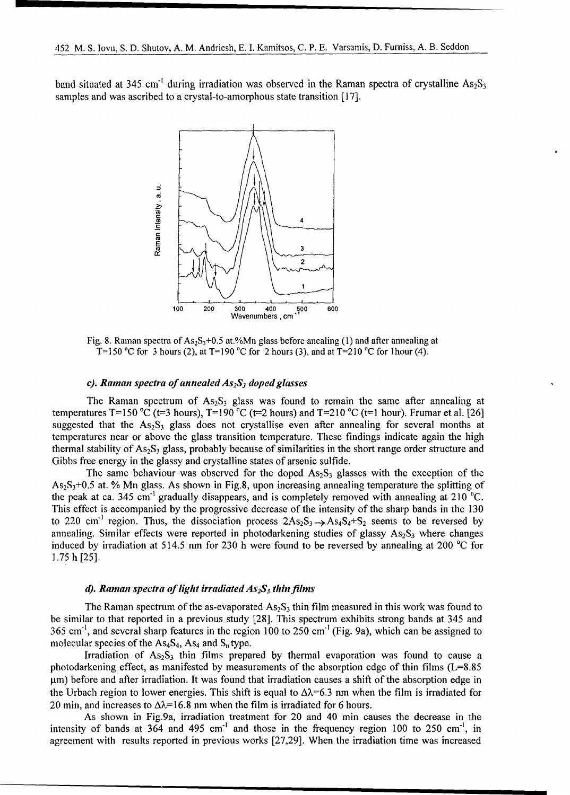band situated at 345 cm<sup>-1</sup> during irradiation was observed in the Raman spectra of crystalline As<sub>2</sub>S<sub>3</sub> samples and was ascribed to a crystal-to-amorphous state transition [17].



Fig. 8. Raman spectra of  $As_2S_3+0.5$  at.%Mn glass before anealing (1) and after annealing at T=150 °C for 3 hours (2), at T=190 °C for 2 hours (3), and at T=210 °C for 1 hour (4).

#### *c*). Raman spectra of annealed  $As_2S_3$  doped glasses

The Raman spectrum of  $As_2S_3$  glass was found to remain the same after annealing at temperatures T=150 °C (t=3 hours), T=190 °C (t=2 hours) and T=210 °C (t=1 hour). Frumar et al. [26] suggested that the  $As_2S_3$  glass does not crystallise even after annealing for several months at temperatures near or above the glass transition temperature. These findings indicate again the high thermal stability of  $As_2S_3$  glass, probably because of similarities in the short range order structure and Gibbs free energy in the glassy and crystalline states of arsenic sulfide.

The same behaviour was observed for the doped  $As_2S_3$  glasses with the exception of the  $As_5S_3+0.5$  at. % Mn glass. As shown in Fig.8, upon increasing annealing temperature the splitting of the peak at ca. 345 cm<sup>-1</sup> gradually disappears, and is completely removed with annealing at 210  $^{\circ}$ C. This effect is accompanied by the progressive decrease of the intensity of the sharp bands in the 130 to 220 cm<sup>-1</sup> region. Thus, the dissociation process  $2As_2S_3 \rightarrow As_4S_4+S_2$  seems to be reversed by annealing. Similar effects were reported in photodarkening studies of glassy  $As_2S_3$  where changes induced by irradiation at 514.5 nm for 230 h were found to be reversed by annealing at 200 °C for 1.75 h [25].

#### *d). Ramnan spectra of light irradiated As 2S3 thin films*

The Raman spectrum of the as-evaporated  $As_2S_3$  thin film measured in this work was found to be similar to that reported in a previous study [28]. This spectrum exhibits strong bands at 345 and 365 cm"', and several sharp features in the region 100 to 250 cm" (Fig. 9a), which can be assigned to molecular species of the  $As<sub>4</sub>S<sub>4</sub>$ , As<sub>4</sub> and  $S<sub>n</sub>$  type.

Irradiation of  $As_2S_3$  thin films prepared by thermal evaporation was found to cause a photodarkening effect, as manifested by measurements of the absorption edge of thin films (L=8.85  $\mu$ m) before and after irradiation. It was found that irradiation causes a shift of the absorption edge in the Urbach region to lower energies. This shift is equal to  $\Delta \lambda = 6.3$  nm when the film is irradiated for 20 min, and increases to  $\Delta \lambda = 16.8$  nm when the film is irradiated for 6 hours.

As shown in Fig.9a, irradiation treatment for 20 and 40 min causes the decrease in the intensity of bands at  $364$  and  $495 \text{ cm}^{-1}$  and those in the frequency region 100 to 250 cm<sup>-1</sup>, in agreement with results reported in previous works [27,29]. When the irradiation time was increased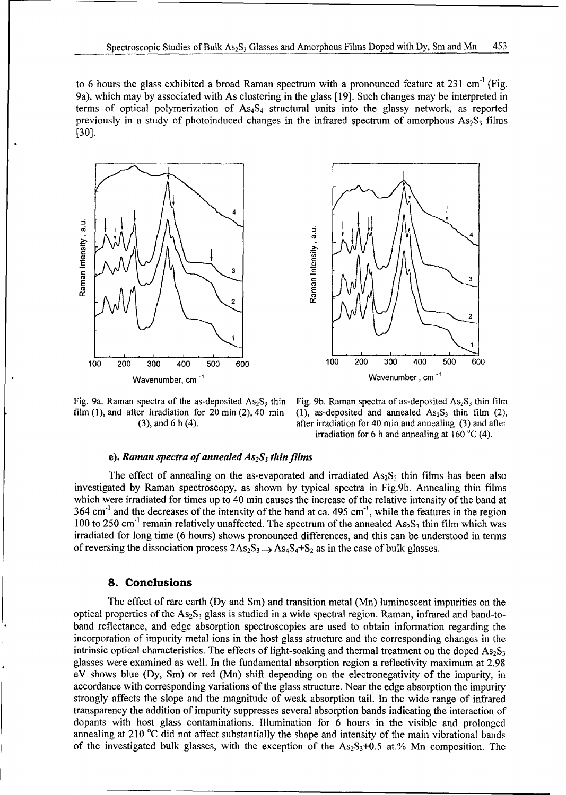to 6 hours the glass exhibited a broad Raman spectrum with a pronounced feature at  $231 \text{ cm}^{-1}$  (Fig. 9a), which may by associated with As clustering in the glass [19]. Such changes may be interpreted in terms of optical polymerization of  $As<sub>4</sub>S<sub>4</sub>$  structural units into the glassy network, as reported previously in a study of photoinduced changes in the infrared spectrum of amorphous  $As_2S_3$  films [30].





film (1), and after irradiation for 20 min (2), 40 min (1), as-deposited and annealed  $As_2S_3$  thin film (2),

Fig. 9a. Raman spectra of the as-deposited  $As_2S_3$  thin Fig. 9b. Raman spectra of as-deposited  $As_2S_3$  thin film (3), and 6 h (4). **after irradiation for 40 min and annealing** (3) and after irradiation for 6 h and annealing at 160 **'C** (4).

#### e). *Raman spectra of annealed As 2S3 thin films*

The effect of annealing on the as-evaporated and irradiated  $As_2S_3$  thin films has been also investigated by Raman spectroscopy, as shown by typical spectra in Fig.9b. Annealing thin films which were irradiated for times up to 40 min causes the increase of the relative intensity of the band at  $364 \text{ cm}^{-1}$  and the decreases of the intensity of the band at ca. 495 cm<sup>-1</sup>, while the features in the region 100 to 250 cm<sup>-1</sup> remain relatively unaffected. The spectrum of the annealed  $As_2S_3$  thin film which was irradiated for long time (6 hours) shows pronounced differences, and this can be understood in terms of reversing the dissociation process  $2As_2S_3 \rightarrow As_4S_4+S_2$  as in the case of bulk glasses.

#### **8.** Conclusions

The effect of rare earth (Dy and Sm) and transition metal (Mn) luminescent impurities on the optical properties of the  $As_2S_3$  glass is studied in a wide spectral region. Raman, infrared and band-toband reflectance, and edge absorption spectroscopies are used to obtain information regarding the incorporation of impurity metal ions in the host glass structure and the corresponding changes in the intrinsic optical characteristics. The effects of light-soaking and thermal treatment on the doped  $As_2S_3$ glasses were examined as well. In the fundamental absorption region a reflectivity maximum at 2.98 eV shows blue (Dy, Sm) or red (Mn) shift depending on the electronegativity of the impurity, in accordance with corresponding variations of the glass structure. Near the edge absorption the impurity strongly affects the slope and the magnitude of weak absorption tail. In the wide range of infrared transparency the addition of impurity suppresses several absorption bands indicating the interaction of dopants with host glass contaminations. Illumination for 6 hours in the visible and prolonged annealing at 210 °C did not affect substantially the shape and intensity of the main vibrational bands of the investigated bulk glasses, with the exception of the  $As_2S_3+0.5$  at.% Mn composition. The